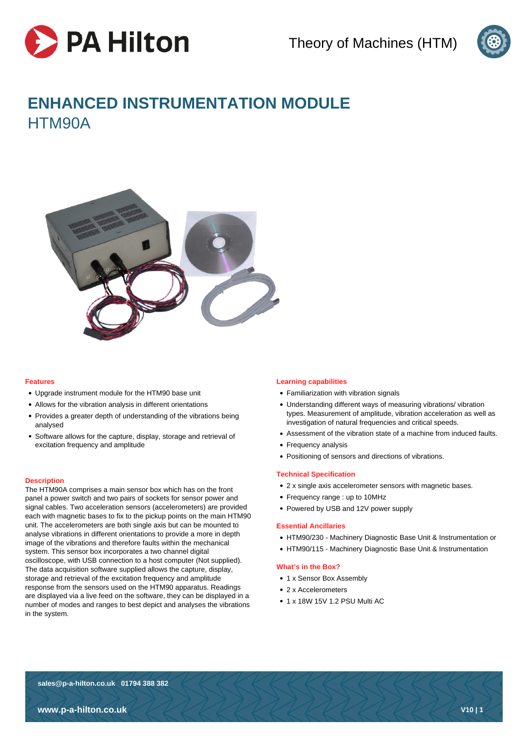



# **ENHANCED INSTRUMENTATION MODULE** HTM90A



# **Features**

- Upgrade instrument module for the HTM90 base unit
- Allows for the vibration analysis in different orientations
- Provides a greater depth of understanding of the vibrations being analysed
- Software allows for the capture, display, storage and retrieval of excitation frequency and amplitude

# **Description**

The HTM90A comprises a main sensor box which has on the front panel a power switch and two pairs of sockets for sensor power and signal cables. Two acceleration sensors (accelerometers) are provided each with magnetic bases to fix to the pickup points on the main HTM90 unit. The accelerometers are both single axis but can be mounted to analyse vibrations in different orientations to provide a more in depth image of the vibrations and therefore faults within the mechanical system. This sensor box incorporates a two channel digital oscilloscope, with USB connection to a host computer (Not supplied). The data acquisition software supplied allows the capture, display, storage and retrieval of the excitation frequency and amplitude response from the sensors used on the HTM90 apparatus. Readings are displayed via a live feed on the software, they can be displayed in a number of modes and ranges to best depict and analyses the vibrations in the system.

# **Learning capabilities**

- Familiarization with vibration signals
- Understanding different ways of measuring vibrations/ vibration types. Measurement of amplitude, vibration acceleration as well as investigation of natural frequencies and critical speeds.
- Assessment of the vibration state of a machine from induced faults.
- Frequency analysis
- Positioning of sensors and directions of vibrations.

### **Technical Specification**

- 2 x single axis accelerometer sensors with magnetic bases.
- Frequency range : up to 10MHz
- Powered by USB and 12V power supply

## **Essential Ancillaries**

- HTM90/230 Machinery Diagnostic Base Unit & Instrumentation or
- HTM90/115 Machinery Diagnostic Base Unit & Instrumentation

### **What's in the Box?**

- 1 x Sensor Box Assembly
- 2 x Accelerometers
- 1 x 18W 15V 1.2 PSU Multi AC